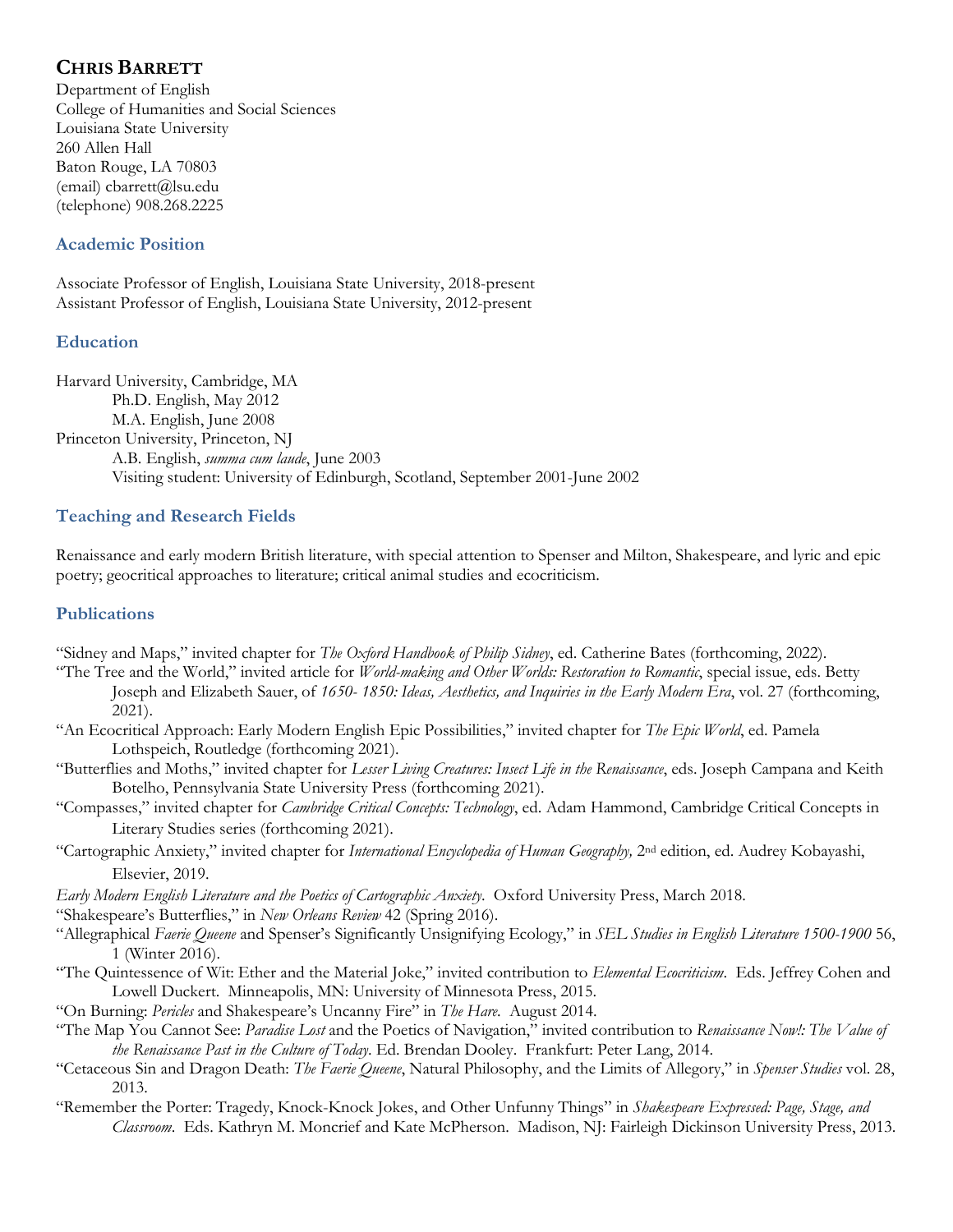# **CHRIS BARRETT**

Department of English College of Humanities and Social Sciences Louisiana State University 260 Allen Hall Baton Rouge, LA 70803 (email) cbarrett@lsu.edu (telephone) 908.268.2225

# **Academic Position**

Associate Professor of English, Louisiana State University, 2018-present Assistant Professor of English, Louisiana State University, 2012-present

# **Education**

Harvard University, Cambridge, MA Ph.D. English, May 2012 M.A. English, June 2008 Princeton University, Princeton, NJ A.B. English, *summa cum laude*, June 2003 Visiting student: University of Edinburgh, Scotland, September 2001-June 2002

# **Teaching and Research Fields**

Renaissance and early modern British literature, with special attention to Spenser and Milton, Shakespeare, and lyric and epic poetry; geocritical approaches to literature; critical animal studies and ecocriticism.

# **Publications**

- "Sidney and Maps," invited chapter for *The Oxford Handbook of Philip Sidney*, ed. Catherine Bates (forthcoming, 2022).
- "The Tree and the World," invited article for *World-making and Other Worlds: Restoration to Romantic*, special issue, eds. Betty Joseph and Elizabeth Sauer, of *1650- 1850: Ideas, Aesthetics, and Inquiries in the Early Modern Era*, vol. 27 (forthcoming, 2021).
- "An Ecocritical Approach: Early Modern English Epic Possibilities," invited chapter for *The Epic World*, ed. Pamela Lothspeich, Routledge (forthcoming 2021).
- "Butterflies and Moths," invited chapter for *Lesser Living Creatures: Insect Life in the Renaissance*, eds. Joseph Campana and Keith Botelho, Pennsylvania State University Press (forthcoming 2021).
- "Compasses," invited chapter for *Cambridge Critical Concepts: Technology*, ed. Adam Hammond, Cambridge Critical Concepts in Literary Studies series (forthcoming 2021).
- "Cartographic Anxiety," invited chapter for *International Encyclopedia of Human Geography,* 2nd edition, ed. Audrey Kobayashi, Elsevier, 2019.
- *Early Modern English Literature and the Poetics of Cartographic Anxiety*. Oxford University Press, March 2018.

"Shakespeare's Butterflies," in *New Orleans Review* 42 (Spring 2016).

- "Allegraphical *Faerie Queene* and Spenser's Significantly Unsignifying Ecology," in *SEL Studies in English Literature 1500-1900* 56, 1 (Winter 2016).
- "The Quintessence of Wit: Ether and the Material Joke," invited contribution to *Elemental Ecocriticism*. Eds. Jeffrey Cohen and Lowell Duckert. Minneapolis, MN: University of Minnesota Press, 2015.
- "On Burning: *Pericles* and Shakespeare's Uncanny Fire" in *The Hare*. August 2014.
- "The Map You Cannot See: *Paradise Lost* and the Poetics of Navigation," invited contribution to *Renaissance Now!: The Value of the Renaissance Past in the Culture of Today*. Ed. Brendan Dooley. Frankfurt: Peter Lang, 2014.
- "Cetaceous Sin and Dragon Death: *The Faerie Queene*, Natural Philosophy, and the Limits of Allegory," in *Spenser Studies* vol. 28, 2013.
- "Remember the Porter: Tragedy, Knock-Knock Jokes, and Other Unfunny Things" in *Shakespeare Expressed: Page, Stage, and Classroom*. Eds. Kathryn M. Moncrief and Kate McPherson. Madison, NJ: Fairleigh Dickinson University Press, 2013.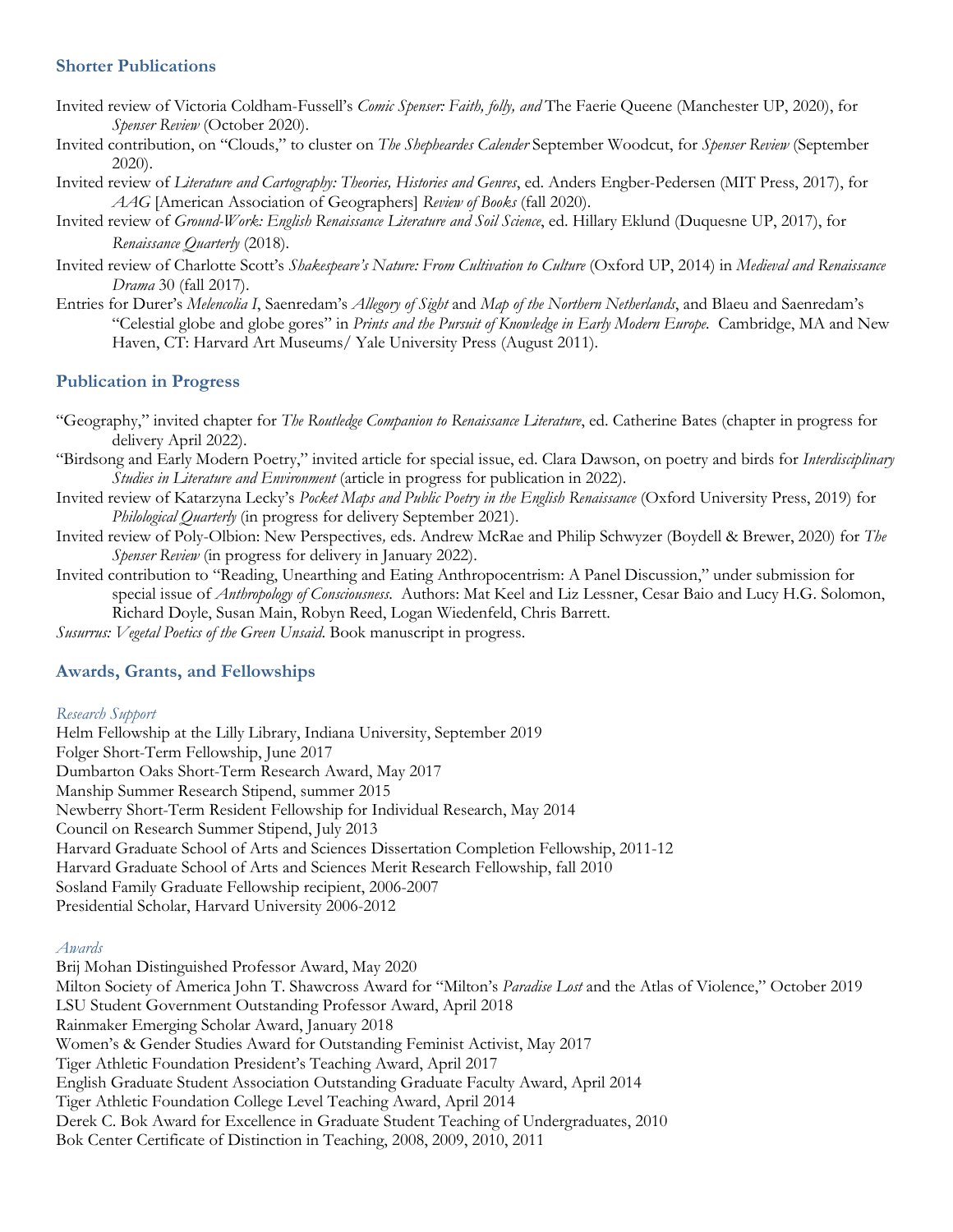### **Shorter Publications**

- Invited review of Victoria Coldham-Fussell's *Comic Spenser: Faith, folly, and* The Faerie Queene (Manchester UP, 2020), for *Spenser Review* (October 2020).
- Invited contribution, on "Clouds," to cluster on *The Shepheardes Calender* September Woodcut, for *Spenser Review* (September 2020).
- Invited review of *Literature and Cartography: Theories, Histories and Genres*, ed. Anders Engber-Pedersen (MIT Press, 2017), for *AAG* [American Association of Geographers] *Review of Books* (fall 2020).
- Invited review of *Ground-Work: English Renaissance Literature and Soil Science*, ed. Hillary Eklund (Duquesne UP, 2017), for *Renaissance Quarterly* (2018).
- Invited review of Charlotte Scott's *Shakespeare's Nature: From Cultivation to Culture* (Oxford UP, 2014) in *Medieval and Renaissance Drama* 30 (fall 2017).
- Entries for Durer's *Melencolia I*, Saenredam's *Allegory of Sight* and *Map of the Northern Netherlands*, and Blaeu and Saenredam's "Celestial globe and globe gores" in *Prints and the Pursuit of Knowledge in Early Modern Europe.* Cambridge, MA and New Haven, CT: Harvard Art Museums/ Yale University Press (August 2011).

### **Publication in Progress**

- "Geography," invited chapter for *The Routledge Companion to Renaissance Literature*, ed. Catherine Bates (chapter in progress for delivery April 2022).
- "Birdsong and Early Modern Poetry," invited article for special issue, ed. Clara Dawson, on poetry and birds for *Interdisciplinary Studies in Literature and Environment* (article in progress for publication in 2022).
- Invited review of Katarzyna Lecky's *Pocket Maps and Public Poetry in the English Renaissance* (Oxford University Press, 2019) for *Philological Quarterly* (in progress for delivery September 2021).
- Invited review of Poly-Olbion: New Perspectives*,* eds. Andrew McRae and Philip Schwyzer (Boydell & Brewer, 2020) for *The Spenser Review* (in progress for delivery in January 2022).
- Invited contribution to "Reading, Unearthing and Eating Anthropocentrism: A Panel Discussion," under submission for special issue of *Anthropology of Consciousness*. Authors: Mat Keel and Liz Lessner, Cesar Baio and Lucy H.G. Solomon, Richard Doyle, Susan Main, Robyn Reed, Logan Wiedenfeld, Chris Barrett.

*Susurrus: Vegetal Poetics of the Green Unsaid*. Book manuscript in progress.

### **Awards, Grants, and Fellowships**

#### *Research Support*

Helm Fellowship at the Lilly Library, Indiana University, September 2019 Folger Short-Term Fellowship, June 2017 Dumbarton Oaks Short-Term Research Award, May 2017 Manship Summer Research Stipend, summer 2015 Newberry Short-Term Resident Fellowship for Individual Research, May 2014 Council on Research Summer Stipend, July 2013 Harvard Graduate School of Arts and Sciences Dissertation Completion Fellowship, 2011-12 Harvard Graduate School of Arts and Sciences Merit Research Fellowship, fall 2010 Sosland Family Graduate Fellowship recipient, 2006-2007 Presidential Scholar, Harvard University 2006-2012

#### *Awards*

Brij Mohan Distinguished Professor Award, May 2020 Milton Society of America John T. Shawcross Award for "Milton's *Paradise Lost* and the Atlas of Violence," October 2019 LSU Student Government Outstanding Professor Award, April 2018 Rainmaker Emerging Scholar Award, January 2018 Women's & Gender Studies Award for Outstanding Feminist Activist, May 2017 Tiger Athletic Foundation President's Teaching Award, April 2017 English Graduate Student Association Outstanding Graduate Faculty Award, April 2014 Tiger Athletic Foundation College Level Teaching Award, April 2014 Derek C. Bok Award for Excellence in Graduate Student Teaching of Undergraduates, 2010 Bok Center Certificate of Distinction in Teaching, 2008, 2009, 2010, 2011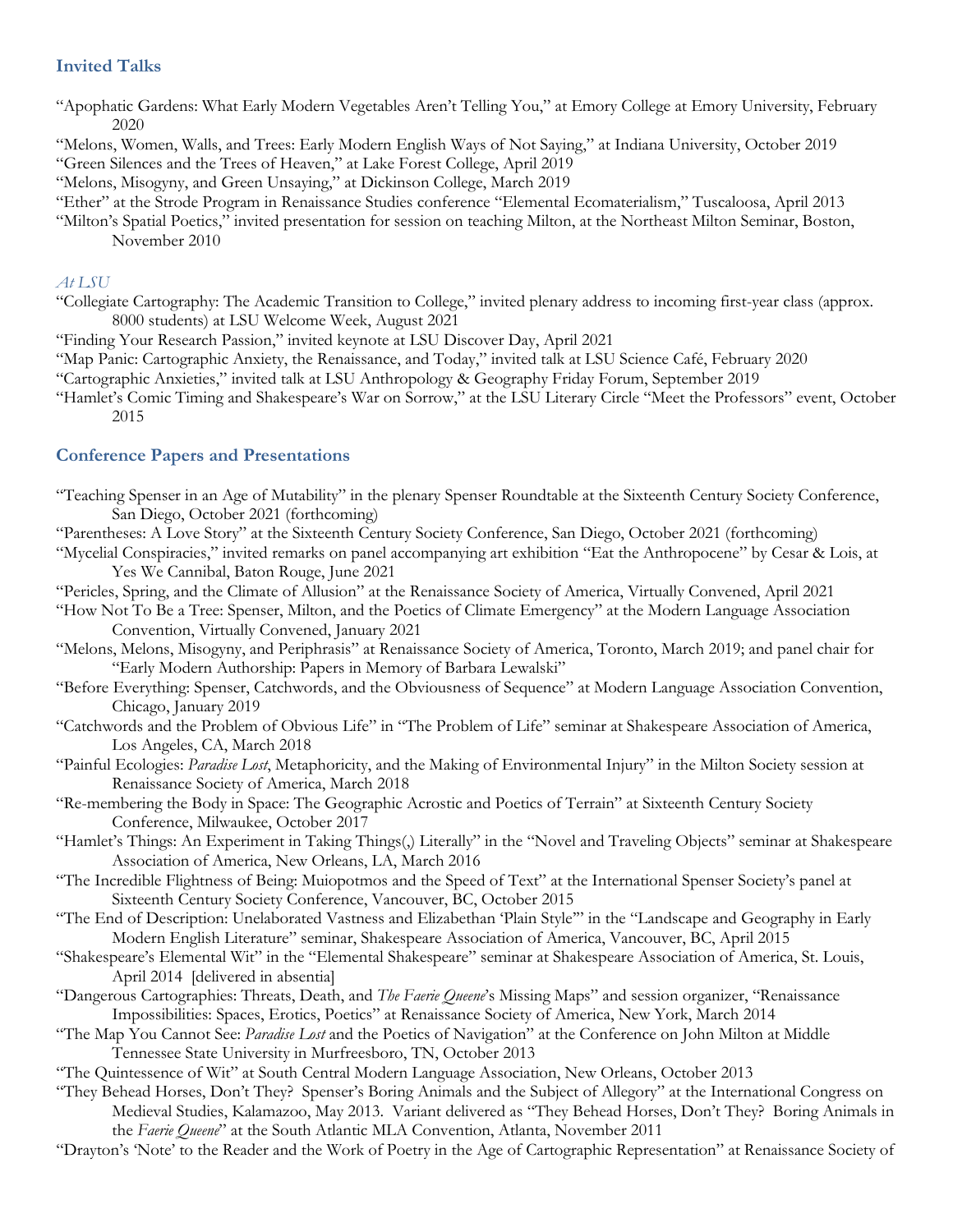# **Invited Talks**

"Apophatic Gardens: What Early Modern Vegetables Aren't Telling You," at Emory College at Emory University, February 2020

"Melons, Women, Walls, and Trees: Early Modern English Ways of Not Saying," at Indiana University, October 2019

"Green Silences and the Trees of Heaven," at Lake Forest College, April 2019

"Melons, Misogyny, and Green Unsaying," at Dickinson College, March 2019

"Ether" at the Strode Program in Renaissance Studies conference "Elemental Ecomaterialism," Tuscaloosa, April 2013

"Milton's Spatial Poetics," invited presentation for session on teaching Milton, at the Northeast Milton Seminar, Boston, November 2010

### *At LSU*

- "Collegiate Cartography: The Academic Transition to College," invited plenary address to incoming first-year class (approx. 8000 students) at LSU Welcome Week, August 2021
- "Finding Your Research Passion," invited keynote at LSU Discover Day, April 2021
- "Map Panic: Cartographic Anxiety, the Renaissance, and Today," invited talk at LSU Science Café, February 2020
- "Cartographic Anxieties," invited talk at LSU Anthropology & Geography Friday Forum, September 2019
- "Hamlet's Comic Timing and Shakespeare's War on Sorrow," at the LSU Literary Circle "Meet the Professors" event, October 2015

## **Conference Papers and Presentations**

- "Teaching Spenser in an Age of Mutability" in the plenary Spenser Roundtable at the Sixteenth Century Society Conference, San Diego, October 2021 (forthcoming)
- "Parentheses: A Love Story" at the Sixteenth Century Society Conference, San Diego, October 2021 (forthcoming)
- "Mycelial Conspiracies," invited remarks on panel accompanying art exhibition "Eat the Anthropocene" by Cesar & Lois, at Yes We Cannibal, Baton Rouge, June 2021
- "Pericles, Spring, and the Climate of Allusion" at the Renaissance Society of America, Virtually Convened, April 2021
- "How Not To Be a Tree: Spenser, Milton, and the Poetics of Climate Emergency" at the Modern Language Association Convention, Virtually Convened, January 2021
- "Melons, Melons, Misogyny, and Periphrasis" at Renaissance Society of America, Toronto, March 2019; and panel chair for "Early Modern Authorship: Papers in Memory of Barbara Lewalski"
- "Before Everything: Spenser, Catchwords, and the Obviousness of Sequence" at Modern Language Association Convention, Chicago, January 2019
- "Catchwords and the Problem of Obvious Life" in "The Problem of Life" seminar at Shakespeare Association of America, Los Angeles, CA, March 2018
- "Painful Ecologies: *Paradise Lost*, Metaphoricity, and the Making of Environmental Injury" in the Milton Society session at Renaissance Society of America, March 2018
- "Re-membering the Body in Space: The Geographic Acrostic and Poetics of Terrain" at Sixteenth Century Society Conference, Milwaukee, October 2017
- "Hamlet's Things: An Experiment in Taking Things(,) Literally" in the "Novel and Traveling Objects" seminar at Shakespeare Association of America, New Orleans, LA, March 2016
- "The Incredible Flightness of Being: Muiopotmos and the Speed of Text" at the International Spenser Society's panel at Sixteenth Century Society Conference, Vancouver, BC, October 2015
- "The End of Description: Unelaborated Vastness and Elizabethan 'Plain Style'" in the "Landscape and Geography in Early Modern English Literature" seminar, Shakespeare Association of America, Vancouver, BC, April 2015
- "Shakespeare's Elemental Wit" in the "Elemental Shakespeare" seminar at Shakespeare Association of America, St. Louis, April 2014 [delivered in absentia]
- "Dangerous Cartographies: Threats, Death, and *The Faerie Queene*'s Missing Maps" and session organizer, "Renaissance Impossibilities: Spaces, Erotics, Poetics" at Renaissance Society of America, New York, March 2014
- "The Map You Cannot See: *Paradise Lost* and the Poetics of Navigation" at the Conference on John Milton at Middle Tennessee State University in Murfreesboro, TN, October 2013
- "The Quintessence of Wit" at South Central Modern Language Association, New Orleans, October 2013
- "They Behead Horses, Don't They? Spenser's Boring Animals and the Subject of Allegory" at the International Congress on Medieval Studies, Kalamazoo, May 2013. Variant delivered as "They Behead Horses, Don't They? Boring Animals in the *Faerie Queene*" at the South Atlantic MLA Convention, Atlanta, November 2011
- "Drayton's 'Note' to the Reader and the Work of Poetry in the Age of Cartographic Representation" at Renaissance Society of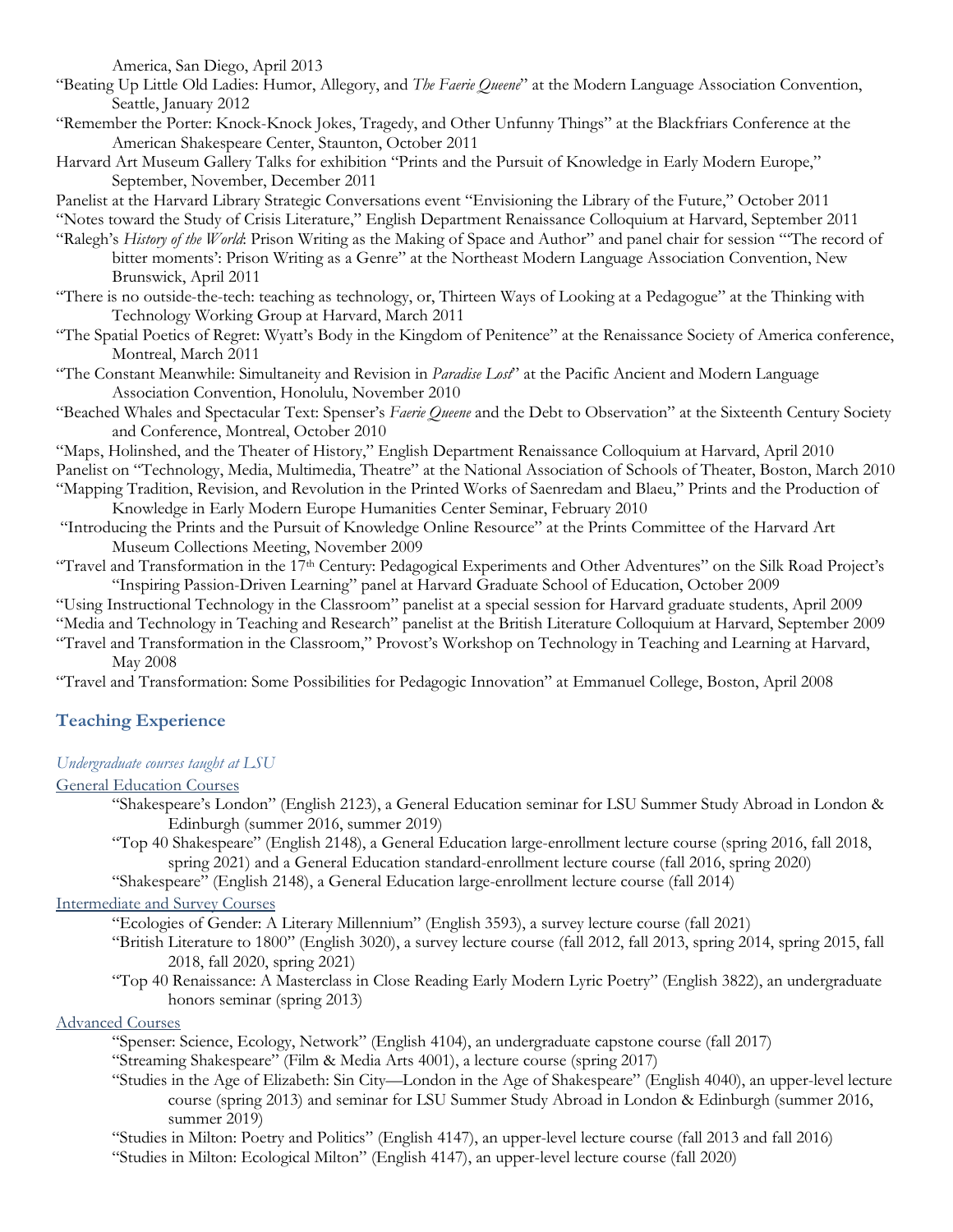America, San Diego, April 2013

- "Beating Up Little Old Ladies: Humor, Allegory, and *The Faerie Queene*" at the Modern Language Association Convention, Seattle, January 2012
- "Remember the Porter: Knock-Knock Jokes, Tragedy, and Other Unfunny Things" at the Blackfriars Conference at the American Shakespeare Center, Staunton, October 2011
- Harvard Art Museum Gallery Talks for exhibition "Prints and the Pursuit of Knowledge in Early Modern Europe," September, November, December 2011

Panelist at the Harvard Library Strategic Conversations event "Envisioning the Library of the Future," October 2011

"Notes toward the Study of Crisis Literature," English Department Renaissance Colloquium at Harvard, September 2011

- "Ralegh's *History of the World*: Prison Writing as the Making of Space and Author" and panel chair for session "'The record of bitter moments': Prison Writing as a Genre" at the Northeast Modern Language Association Convention, New Brunswick, April 2011
- "There is no outside-the-tech: teaching as technology, or, Thirteen Ways of Looking at a Pedagogue" at the Thinking with Technology Working Group at Harvard, March 2011
- "The Spatial Poetics of Regret: Wyatt's Body in the Kingdom of Penitence" at the Renaissance Society of America conference, Montreal, March 2011
- "The Constant Meanwhile: Simultaneity and Revision in *Paradise Lost*" at the Pacific Ancient and Modern Language Association Convention, Honolulu, November 2010
- "Beached Whales and Spectacular Text: Spenser's *Faerie Queene* and the Debt to Observation" at the Sixteenth Century Society and Conference, Montreal, October 2010
- "Maps, Holinshed, and the Theater of History," English Department Renaissance Colloquium at Harvard, April 2010
- Panelist on "Technology, Media, Multimedia, Theatre" at the National Association of Schools of Theater, Boston, March 2010 "Mapping Tradition, Revision, and Revolution in the Printed Works of Saenredam and Blaeu," Prints and the Production of
- Knowledge in Early Modern Europe Humanities Center Seminar, February 2010
- "Introducing the Prints and the Pursuit of Knowledge Online Resource" at the Prints Committee of the Harvard Art Museum Collections Meeting, November 2009
- "Travel and Transformation in the 17th Century: Pedagogical Experiments and Other Adventures" on the Silk Road Project's "Inspiring Passion-Driven Learning" panel at Harvard Graduate School of Education, October 2009
- "Using Instructional Technology in the Classroom" panelist at a special session for Harvard graduate students, April 2009
- "Media and Technology in Teaching and Research" panelist at the British Literature Colloquium at Harvard, September 2009 "Travel and Transformation in the Classroom," Provost's Workshop on Technology in Teaching and Learning at Harvard,
- May 2008

"Travel and Transformation: Some Possibilities for Pedagogic Innovation" at Emmanuel College, Boston, April 2008

# **Teaching Experience**

# *Undergraduate courses taught at LSU*

# General Education Courses

- "Shakespeare's London" (English 2123), a General Education seminar for LSU Summer Study Abroad in London & Edinburgh (summer 2016, summer 2019)
- "Top 40 Shakespeare" (English 2148), a General Education large-enrollment lecture course (spring 2016, fall 2018, spring 2021) and a General Education standard-enrollment lecture course (fall 2016, spring 2020)

"Shakespeare" (English 2148), a General Education large-enrollment lecture course (fall 2014)

# Intermediate and Survey Courses

- "Ecologies of Gender: A Literary Millennium" (English 3593), a survey lecture course (fall 2021)
- "British Literature to 1800" (English 3020), a survey lecture course (fall 2012, fall 2013, spring 2014, spring 2015, fall 2018, fall 2020, spring 2021)
- "Top 40 Renaissance: A Masterclass in Close Reading Early Modern Lyric Poetry" (English 3822), an undergraduate honors seminar (spring 2013)

# Advanced Courses

- "Spenser: Science, Ecology, Network" (English 4104), an undergraduate capstone course (fall 2017)
- "Streaming Shakespeare" (Film & Media Arts 4001), a lecture course (spring 2017)
- "Studies in the Age of Elizabeth: Sin City—London in the Age of Shakespeare" (English 4040), an upper-level lecture course (spring 2013) and seminar for LSU Summer Study Abroad in London & Edinburgh (summer 2016, summer 2019)
- "Studies in Milton: Poetry and Politics" (English 4147), an upper-level lecture course (fall 2013 and fall 2016)
- "Studies in Milton: Ecological Milton" (English 4147), an upper-level lecture course (fall 2020)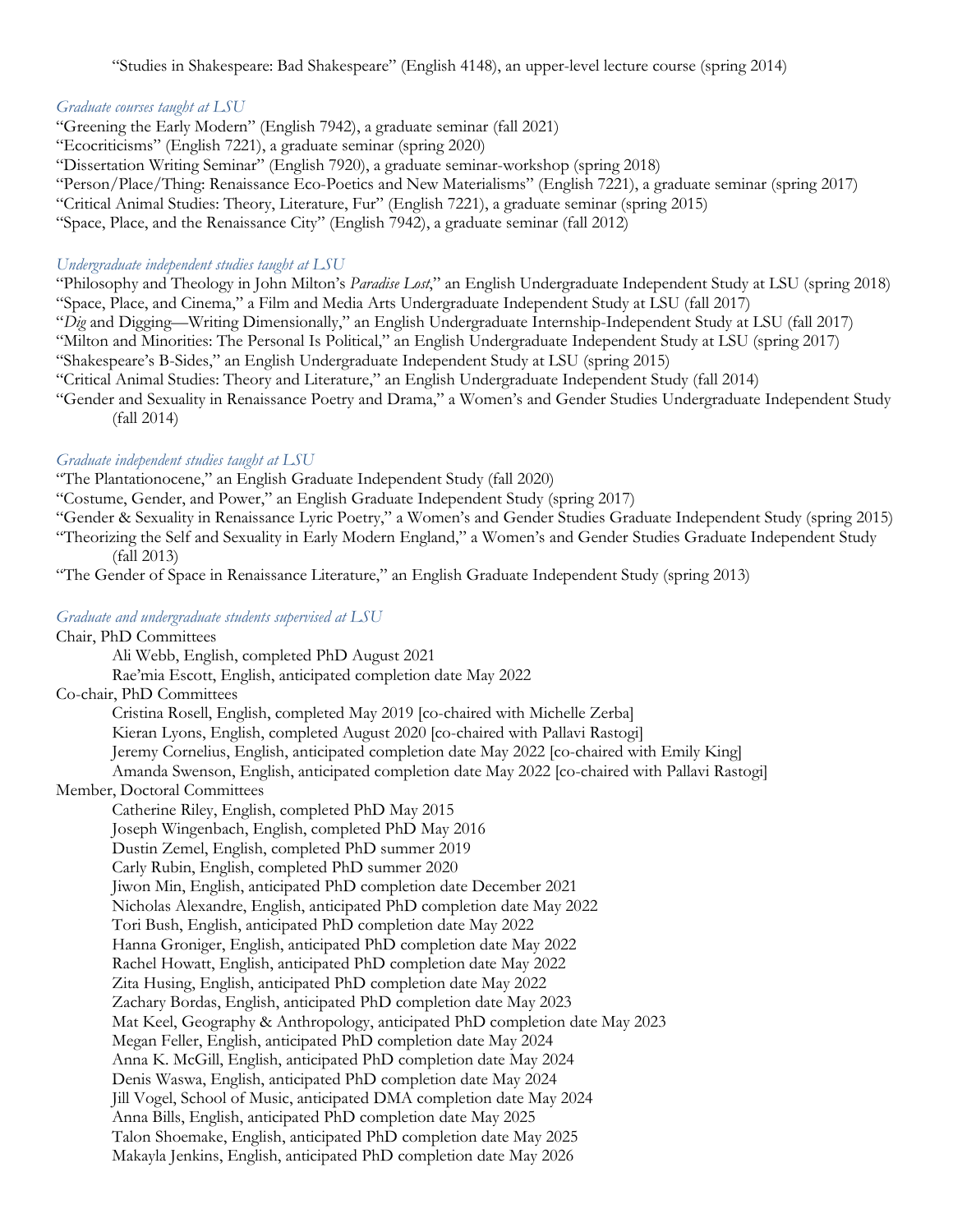"Studies in Shakespeare: Bad Shakespeare" (English 4148), an upper-level lecture course (spring 2014)

#### *Graduate courses taught at LSU*

- "Greening the Early Modern" (English 7942), a graduate seminar (fall 2021)
- "Ecocriticisms" (English 7221), a graduate seminar (spring 2020)
- "Dissertation Writing Seminar" (English 7920), a graduate seminar-workshop (spring 2018)
- "Person/Place/Thing: Renaissance Eco-Poetics and New Materialisms" (English 7221), a graduate seminar (spring 2017)
- "Critical Animal Studies: Theory, Literature, Fur" (English 7221), a graduate seminar (spring 2015)
- "Space, Place, and the Renaissance City" (English 7942), a graduate seminar (fall 2012)

#### *Undergraduate independent studies taught at LSU*

- "Philosophy and Theology in John Milton's *Paradise Lost*," an English Undergraduate Independent Study at LSU (spring 2018) "Space, Place, and Cinema," a Film and Media Arts Undergraduate Independent Study at LSU (fall 2017)
- "*Dig* and Digging—Writing Dimensionally," an English Undergraduate Internship-Independent Study at LSU (fall 2017)
- "Milton and Minorities: The Personal Is Political," an English Undergraduate Independent Study at LSU (spring 2017)
- "Shakespeare's B-Sides," an English Undergraduate Independent Study at LSU (spring 2015)
- "Critical Animal Studies: Theory and Literature," an English Undergraduate Independent Study (fall 2014)
- "Gender and Sexuality in Renaissance Poetry and Drama," a Women's and Gender Studies Undergraduate Independent Study (fall 2014)

#### *Graduate independent studies taught at LSU*

"The Plantationocene," an English Graduate Independent Study (fall 2020)

- "Costume, Gender, and Power," an English Graduate Independent Study (spring 2017)
- "Gender & Sexuality in Renaissance Lyric Poetry," a Women's and Gender Studies Graduate Independent Study (spring 2015) "Theorizing the Self and Sexuality in Early Modern England," a Women's and Gender Studies Graduate Independent Study
	- (fall 2013)

"The Gender of Space in Renaissance Literature," an English Graduate Independent Study (spring 2013)

### *Graduate and undergraduate students supervised at LSU*

## Chair, PhD Committees

Ali Webb, English, completed PhD August 2021

Rae'mia Escott, English, anticipated completion date May 2022

#### Co-chair, PhD Committees

Cristina Rosell, English, completed May 2019 [co-chaired with Michelle Zerba] Kieran Lyons, English, completed August 2020 [co-chaired with Pallavi Rastogi] Jeremy Cornelius, English, anticipated completion date May 2022 [co-chaired with Emily King] Amanda Swenson, English, anticipated completion date May 2022 [co-chaired with Pallavi Rastogi]

### Member, Doctoral Committees

Catherine Riley, English, completed PhD May 2015 Joseph Wingenbach, English, completed PhD May 2016 Dustin Zemel, English, completed PhD summer 2019 Carly Rubin, English, completed PhD summer 2020 Jiwon Min, English, anticipated PhD completion date December 2021 Nicholas Alexandre, English, anticipated PhD completion date May 2022 Tori Bush, English, anticipated PhD completion date May 2022 Hanna Groniger, English, anticipated PhD completion date May 2022 Rachel Howatt, English, anticipated PhD completion date May 2022 Zita Husing, English, anticipated PhD completion date May 2022 Zachary Bordas, English, anticipated PhD completion date May 2023 Mat Keel, Geography & Anthropology, anticipated PhD completion date May 2023 Megan Feller, English, anticipated PhD completion date May 2024 Anna K. McGill, English, anticipated PhD completion date May 2024 Denis Waswa, English, anticipated PhD completion date May 2024 Jill Vogel, School of Music, anticipated DMA completion date May 2024 Anna Bills, English, anticipated PhD completion date May 2025 Talon Shoemake, English, anticipated PhD completion date May 2025 Makayla Jenkins, English, anticipated PhD completion date May 2026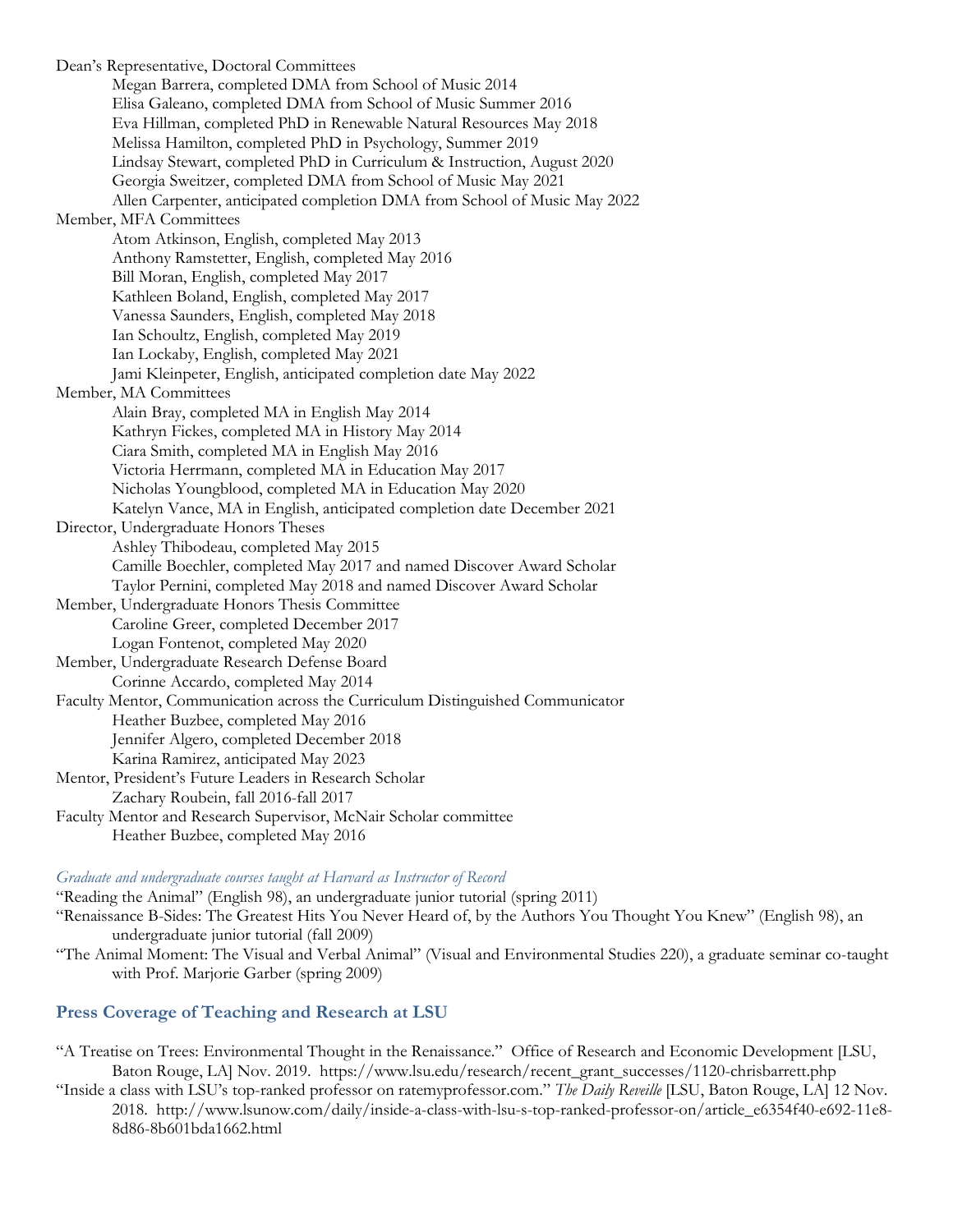Dean's Representative, Doctoral Committees Megan Barrera, completed DMA from School of Music 2014 Elisa Galeano, completed DMA from School of Music Summer 2016 Eva Hillman, completed PhD in Renewable Natural Resources May 2018 Melissa Hamilton, completed PhD in Psychology, Summer 2019 Lindsay Stewart, completed PhD in Curriculum & Instruction, August 2020 Georgia Sweitzer, completed DMA from School of Music May 2021 Allen Carpenter, anticipated completion DMA from School of Music May 2022 Member, MFA Committees Atom Atkinson, English, completed May 2013 Anthony Ramstetter, English, completed May 2016 Bill Moran, English, completed May 2017 Kathleen Boland, English, completed May 2017 Vanessa Saunders, English, completed May 2018 Ian Schoultz, English, completed May 2019 Ian Lockaby, English, completed May 2021 Jami Kleinpeter, English, anticipated completion date May 2022 Member, MA Committees Alain Bray, completed MA in English May 2014 Kathryn Fickes, completed MA in History May 2014 Ciara Smith, completed MA in English May 2016 Victoria Herrmann, completed MA in Education May 2017 Nicholas Youngblood, completed MA in Education May 2020 Katelyn Vance, MA in English, anticipated completion date December 2021 Director, Undergraduate Honors Theses Ashley Thibodeau, completed May 2015 Camille Boechler, completed May 2017 and named Discover Award Scholar Taylor Pernini, completed May 2018 and named Discover Award Scholar Member, Undergraduate Honors Thesis Committee Caroline Greer, completed December 2017 Logan Fontenot, completed May 2020 Member, Undergraduate Research Defense Board Corinne Accardo, completed May 2014 Faculty Mentor, Communication across the Curriculum Distinguished Communicator Heather Buzbee, completed May 2016 Jennifer Algero, completed December 2018 Karina Ramirez, anticipated May 2023 Mentor, President's Future Leaders in Research Scholar Zachary Roubein, fall 2016-fall 2017 Faculty Mentor and Research Supervisor, McNair Scholar committee Heather Buzbee, completed May 2016

#### *Graduate and undergraduate courses taught at Harvard as Instructor of Record*

"Reading the Animal" (English 98), an undergraduate junior tutorial (spring 2011) "Renaissance B-Sides: The Greatest Hits You Never Heard of, by the Authors You Thought You Knew" (English 98), an undergraduate junior tutorial (fall 2009)

"The Animal Moment: The Visual and Verbal Animal" (Visual and Environmental Studies 220), a graduate seminar co-taught with Prof. Marjorie Garber (spring 2009)

### **Press Coverage of Teaching and Research at LSU**

- "A Treatise on Trees: Environmental Thought in the Renaissance." Office of Research and Economic Development [LSU, Baton Rouge, LA] Nov. 2019. https://www.lsu.edu/research/recent\_grant\_successes/1120-chrisbarrett.php
- "Inside a class with LSU's top-ranked professor on ratemyprofessor.com." *The Daily Reveille* [LSU, Baton Rouge, LA] 12 Nov. 2018. http://www.lsunow.com/daily/inside-a-class-with-lsu-s-top-ranked-professor-on/article\_e6354f40-e692-11e8- 8d86-8b601bda1662.html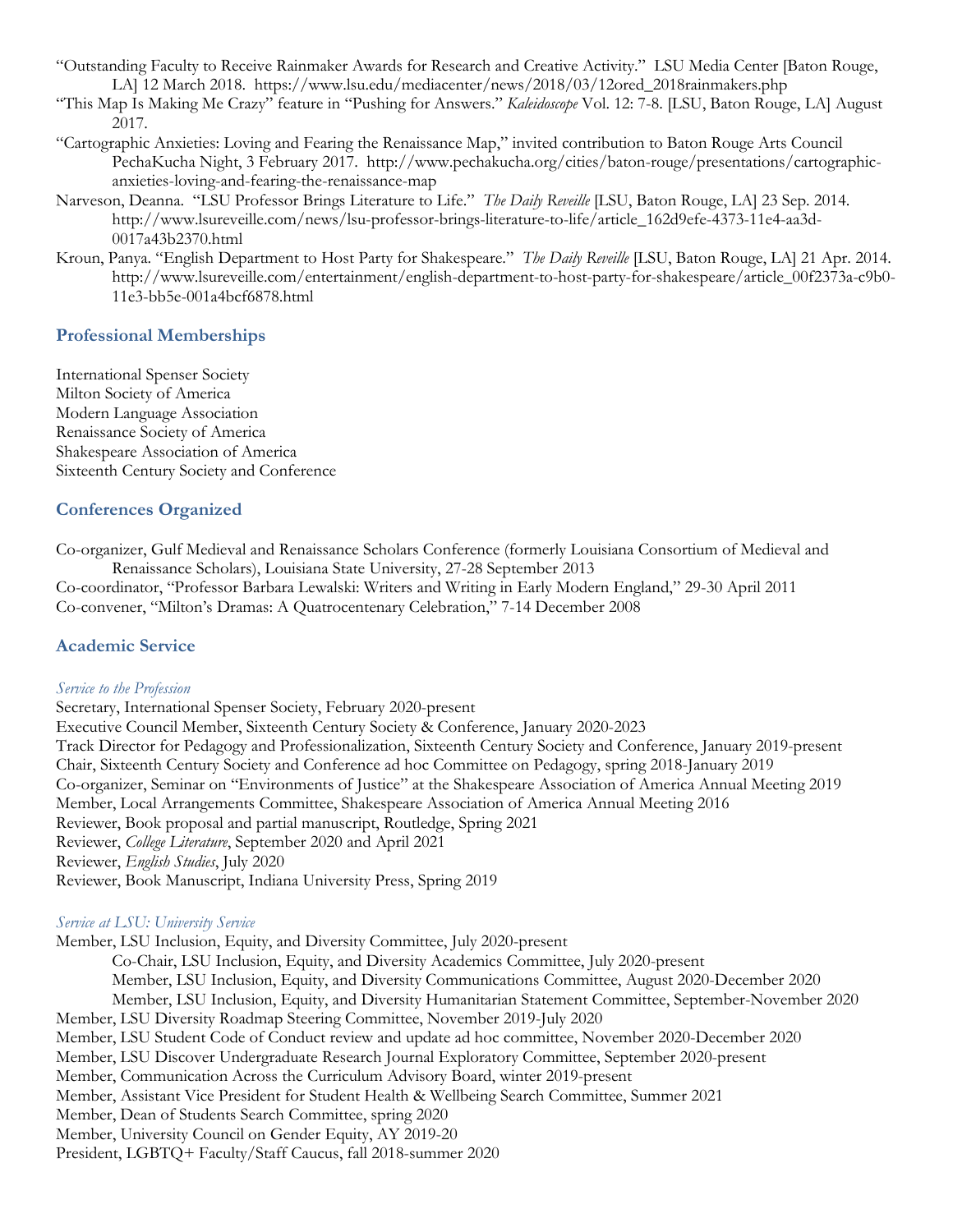- "Outstanding Faculty to Receive Rainmaker Awards for Research and Creative Activity." LSU Media Center [Baton Rouge, LA] 12 March 2018. https://www.lsu.edu/mediacenter/news/2018/03/12ored\_2018rainmakers.php
- "This Map Is Making Me Crazy" feature in "Pushing for Answers." *Kaleidoscope* Vol. 12: 7-8. [LSU, Baton Rouge, LA] August 2017.
- "Cartographic Anxieties: Loving and Fearing the Renaissance Map," invited contribution to Baton Rouge Arts Council PechaKucha Night, 3 February 2017. http://www.pechakucha.org/cities/baton-rouge/presentations/cartographicanxieties-loving-and-fearing-the-renaissance-map
- Narveson, Deanna. "LSU Professor Brings Literature to Life." *The Daily Reveille* [LSU, Baton Rouge, LA] 23 Sep. 2014. http://www.lsureveille.com/news/lsu-professor-brings-literature-to-life/article\_162d9efe-4373-11e4-aa3d-0017a43b2370.html
- Kroun, Panya. "English Department to Host Party for Shakespeare." *The Daily Reveille* [LSU, Baton Rouge, LA] 21 Apr. 2014. http://www.lsureveille.com/entertainment/english-department-to-host-party-for-shakespeare/article\_00f2373a-c9b0- 11e3-bb5e-001a4bcf6878.html

### **Professional Memberships**

International Spenser Society Milton Society of America Modern Language Association Renaissance Society of America Shakespeare Association of America Sixteenth Century Society and Conference

# **Conferences Organized**

Co-organizer, Gulf Medieval and Renaissance Scholars Conference (formerly Louisiana Consortium of Medieval and Renaissance Scholars), Louisiana State University, 27-28 September 2013

Co-coordinator, "Professor Barbara Lewalski: Writers and Writing in Early Modern England," 29-30 April 2011 Co-convener, "Milton's Dramas: A Quatrocentenary Celebration," 7-14 December 2008

### **Academic Service**

### *Service to the Profession*

Secretary, International Spenser Society, February 2020-present Executive Council Member, Sixteenth Century Society & Conference, January 2020-2023 Track Director for Pedagogy and Professionalization, Sixteenth Century Society and Conference, January 2019-present Chair, Sixteenth Century Society and Conference ad hoc Committee on Pedagogy, spring 2018-January 2019 Co-organizer, Seminar on "Environments of Justice" at the Shakespeare Association of America Annual Meeting 2019 Member, Local Arrangements Committee, Shakespeare Association of America Annual Meeting 2016 Reviewer, Book proposal and partial manuscript, Routledge, Spring 2021 Reviewer, *College Literature*, September 2020 and April 2021 Reviewer, *English Studies*, July 2020 Reviewer, Book Manuscript, Indiana University Press, Spring 2019

### *Service at LSU: University Service*

Member, LSU Inclusion, Equity, and Diversity Committee, July 2020-present

- Co-Chair, LSU Inclusion, Equity, and Diversity Academics Committee, July 2020-present
	- Member, LSU Inclusion, Equity, and Diversity Communications Committee, August 2020-December 2020

Member, LSU Inclusion, Equity, and Diversity Humanitarian Statement Committee, September-November 2020 Member, LSU Diversity Roadmap Steering Committee, November 2019-July 2020

Member, LSU Student Code of Conduct review and update ad hoc committee, November 2020-December 2020

Member, LSU Discover Undergraduate Research Journal Exploratory Committee, September 2020-present

Member, Communication Across the Curriculum Advisory Board, winter 2019-present

Member, Assistant Vice President for Student Health & Wellbeing Search Committee, Summer 2021

Member, Dean of Students Search Committee, spring 2020

Member, University Council on Gender Equity, AY 2019-20

President, LGBTQ+ Faculty/Staff Caucus, fall 2018-summer 2020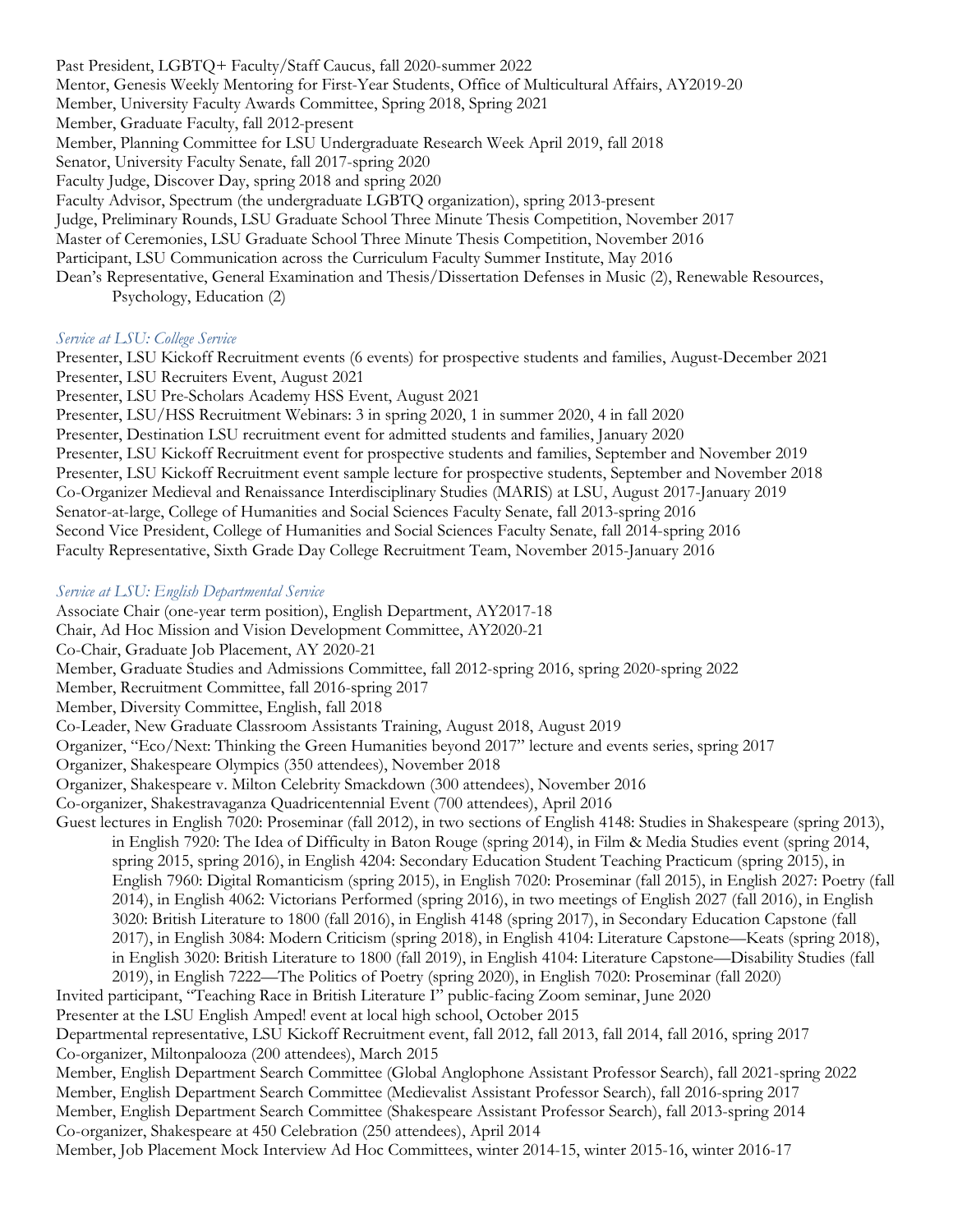Past President, LGBTQ+ Faculty/Staff Caucus, fall 2020-summer 2022 Mentor, Genesis Weekly Mentoring for First-Year Students, Office of Multicultural Affairs, AY2019-20 Member, University Faculty Awards Committee, Spring 2018, Spring 2021 Member, Graduate Faculty, fall 2012-present Member, Planning Committee for LSU Undergraduate Research Week April 2019, fall 2018 Senator, University Faculty Senate, fall 2017-spring 2020 Faculty Judge, Discover Day, spring 2018 and spring 2020 Faculty Advisor, Spectrum (the undergraduate LGBTQ organization), spring 2013-present Judge, Preliminary Rounds, LSU Graduate School Three Minute Thesis Competition, November 2017 Master of Ceremonies, LSU Graduate School Three Minute Thesis Competition, November 2016 Participant, LSU Communication across the Curriculum Faculty Summer Institute, May 2016 Dean's Representative, General Examination and Thesis/Dissertation Defenses in Music (2), Renewable Resources, Psychology, Education (2)

### *Service at LSU: College Service*

Presenter, LSU Kickoff Recruitment events (6 events) for prospective students and families, August-December 2021 Presenter, LSU Recruiters Event, August 2021

Presenter, LSU Pre-Scholars Academy HSS Event, August 2021

Presenter, LSU/HSS Recruitment Webinars: 3 in spring 2020, 1 in summer 2020, 4 in fall 2020

Presenter, Destination LSU recruitment event for admitted students and families, January 2020

Presenter, LSU Kickoff Recruitment event for prospective students and families, September and November 2019 Presenter, LSU Kickoff Recruitment event sample lecture for prospective students, September and November 2018 Co-Organizer Medieval and Renaissance Interdisciplinary Studies (MARIS) at LSU, August 2017-January 2019 Senator-at-large, College of Humanities and Social Sciences Faculty Senate, fall 2013-spring 2016 Second Vice President, College of Humanities and Social Sciences Faculty Senate, fall 2014-spring 2016 Faculty Representative, Sixth Grade Day College Recruitment Team, November 2015-January 2016

#### *Service at LSU: English Departmental Service*

Associate Chair (one-year term position), English Department, AY2017-18

Chair, Ad Hoc Mission and Vision Development Committee, AY2020-21

Co-Chair, Graduate Job Placement, AY 2020-21

Member, Graduate Studies and Admissions Committee, fall 2012-spring 2016, spring 2020-spring 2022

Member, Recruitment Committee, fall 2016-spring 2017

Member, Diversity Committee, English, fall 2018

Co-Leader, New Graduate Classroom Assistants Training, August 2018, August 2019

Organizer, "Eco/Next: Thinking the Green Humanities beyond 2017" lecture and events series, spring 2017

Organizer, Shakespeare Olympics (350 attendees), November 2018

Organizer, Shakespeare v. Milton Celebrity Smackdown (300 attendees), November 2016

Co-organizer, Shakestravaganza Quadricentennial Event (700 attendees), April 2016

Guest lectures in English 7020: Proseminar (fall 2012), in two sections of English 4148: Studies in Shakespeare (spring 2013), in English 7920: The Idea of Difficulty in Baton Rouge (spring 2014), in Film & Media Studies event (spring 2014, spring 2015, spring 2016), in English 4204: Secondary Education Student Teaching Practicum (spring 2015), in English 7960: Digital Romanticism (spring 2015), in English 7020: Proseminar (fall 2015), in English 2027: Poetry (fall 2014), in English 4062: Victorians Performed (spring 2016), in two meetings of English 2027 (fall 2016), in English 3020: British Literature to 1800 (fall 2016), in English 4148 (spring 2017), in Secondary Education Capstone (fall 2017), in English 3084: Modern Criticism (spring 2018), in English 4104: Literature Capstone—Keats (spring 2018), in English 3020: British Literature to 1800 (fall 2019), in English 4104: Literature Capstone—Disability Studies (fall 2019), in English 7222—The Politics of Poetry (spring 2020), in English 7020: Proseminar (fall 2020)

Invited participant, "Teaching Race in British Literature I" public-facing Zoom seminar, June 2020 Presenter at the LSU English Amped! event at local high school, October 2015 Departmental representative, LSU Kickoff Recruitment event, fall 2012, fall 2013, fall 2014, fall 2016, spring 2017 Co-organizer, Miltonpalooza (200 attendees), March 2015 Member, English Department Search Committee (Global Anglophone Assistant Professor Search), fall 2021-spring 2022 Member, English Department Search Committee (Medievalist Assistant Professor Search), fall 2016-spring 2017 Member, English Department Search Committee (Shakespeare Assistant Professor Search), fall 2013-spring 2014 Co-organizer, Shakespeare at 450 Celebration (250 attendees), April 2014

Member, Job Placement Mock Interview Ad Hoc Committees, winter 2014-15, winter 2015-16, winter 2016-17